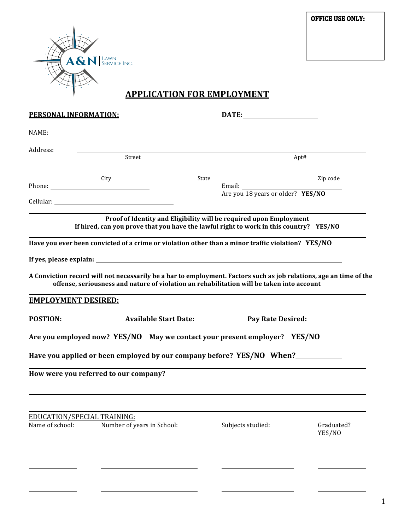**OFFICE USE ONLY:** 



# **APPLICATION FOR EMPLOYMENT**

| PERSONAL INFORMATION:       |                                                                                                                                                                                                                 |       | DATE:                             |                      |  |
|-----------------------------|-----------------------------------------------------------------------------------------------------------------------------------------------------------------------------------------------------------------|-------|-----------------------------------|----------------------|--|
|                             | NAME:                                                                                                                                                                                                           |       |                                   |                      |  |
| Address:                    |                                                                                                                                                                                                                 |       |                                   |                      |  |
|                             | Street                                                                                                                                                                                                          |       | Apt#                              |                      |  |
|                             | City                                                                                                                                                                                                            | State |                                   | Zip code             |  |
|                             |                                                                                                                                                                                                                 |       | Are you 18 years or older? YES/NO |                      |  |
|                             | Proof of Identity and Eligibility will be required upon Employment<br>If hired, can you prove that you have the lawful right to work in this country? YES/NO                                                    |       |                                   |                      |  |
|                             | Have you ever been convicted of a crime or violation other than a minor traffic violation? YES/NO                                                                                                               |       |                                   |                      |  |
|                             |                                                                                                                                                                                                                 |       |                                   |                      |  |
|                             | A Conviction record will not necessarily be a bar to employment. Factors such as job relations, age an time of the<br>offense, seriousness and nature of violation an rehabilitation will be taken into account |       |                                   |                      |  |
| <b>EMPLOYMENT DESIRED:</b>  |                                                                                                                                                                                                                 |       |                                   |                      |  |
|                             | POSTION: Available Start Date: Pay Rate Desired:                                                                                                                                                                |       |                                   |                      |  |
|                             | Are you employed now? YES/NO May we contact your present employer? YES/NO                                                                                                                                       |       |                                   |                      |  |
|                             | Have you applied or been employed by our company before? YES/NO When?                                                                                                                                           |       |                                   |                      |  |
|                             | How were you referred to our company?                                                                                                                                                                           |       |                                   |                      |  |
|                             |                                                                                                                                                                                                                 |       |                                   |                      |  |
|                             |                                                                                                                                                                                                                 |       |                                   |                      |  |
| EDUCATION/SPECIAL TRAINING: |                                                                                                                                                                                                                 |       |                                   |                      |  |
| Name of school:             | Number of years in School:                                                                                                                                                                                      |       | Subjects studied:                 | Graduated?<br>YES/NO |  |
|                             |                                                                                                                                                                                                                 |       |                                   |                      |  |
|                             |                                                                                                                                                                                                                 |       |                                   |                      |  |
|                             |                                                                                                                                                                                                                 |       |                                   |                      |  |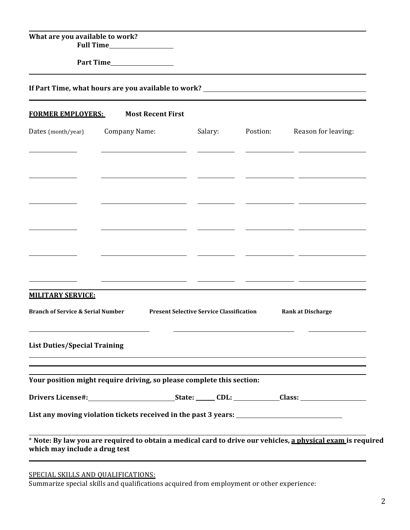| What are you available to work?              | Full Time                                                                                                                                                 |                                                 |          |                          |
|----------------------------------------------|-----------------------------------------------------------------------------------------------------------------------------------------------------------|-------------------------------------------------|----------|--------------------------|
|                                              | <b>Part Time</b>                                                                                                                                          |                                                 |          |                          |
|                                              | If Part Time, what hours are you available to work? ____________________________                                                                          |                                                 |          |                          |
| <u>FORMER EMPLOYERS:</u>                     | <b>Most Recent First</b>                                                                                                                                  |                                                 |          |                          |
| Dates (month/year)                           | Company Name:                                                                                                                                             | Salary:                                         | Postion: | Reason for leaving:      |
|                                              |                                                                                                                                                           |                                                 |          |                          |
|                                              |                                                                                                                                                           |                                                 |          |                          |
|                                              |                                                                                                                                                           |                                                 |          |                          |
|                                              |                                                                                                                                                           |                                                 |          |                          |
|                                              |                                                                                                                                                           |                                                 |          |                          |
|                                              |                                                                                                                                                           |                                                 |          |                          |
| <b>MILITARY SERVICE:</b>                     |                                                                                                                                                           |                                                 |          |                          |
| <b>Branch of Service &amp; Serial Number</b> |                                                                                                                                                           | <b>Present Selective Service Classification</b> |          | <b>Rank at Discharge</b> |
|                                              |                                                                                                                                                           |                                                 |          |                          |
| <b>List Duties/Special Training</b>          |                                                                                                                                                           |                                                 |          |                          |
|                                              | ,我们也不会有什么。""我们的人,我们也不会有什么?""我们的人,我们也不会有什么?""我们的人,我们也不会有什么?""我们的人,我们也不会有什么?""我们的人<br>Your position might require driving, so please complete this section: |                                                 |          |                          |
|                                              |                                                                                                                                                           |                                                 |          |                          |
|                                              |                                                                                                                                                           |                                                 |          |                          |
|                                              |                                                                                                                                                           |                                                 |          |                          |
| which may include a drug test                | * Note: By law you are required to obtain a medical card to drive our vehicles, a physical exam is required                                               |                                                 |          |                          |

SPECIAL SKILLS AND OUALIFICATIONS:

Summarize special skills and qualifications acquired from employment or other experience: